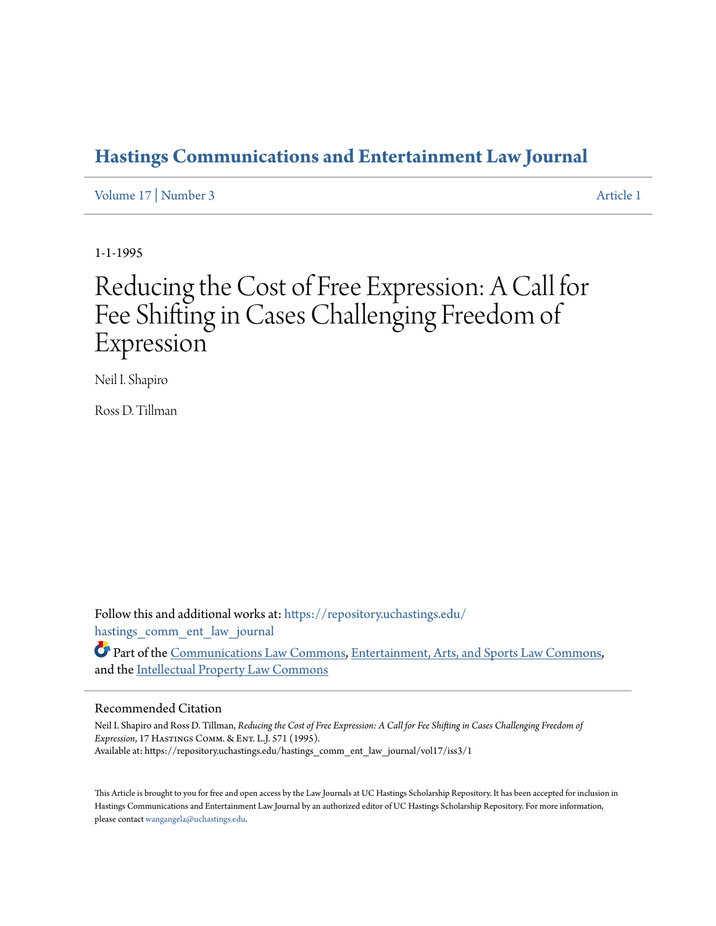# **[Hastings Communications and Entertainment Law Journal](https://repository.uchastings.edu/hastings_comm_ent_law_journal?utm_source=repository.uchastings.edu%2Fhastings_comm_ent_law_journal%2Fvol17%2Fiss3%2F1&utm_medium=PDF&utm_campaign=PDFCoverPages)**

[Volume 17](https://repository.uchastings.edu/hastings_comm_ent_law_journal/vol17?utm_source=repository.uchastings.edu%2Fhastings_comm_ent_law_journal%2Fvol17%2Fiss3%2F1&utm_medium=PDF&utm_campaign=PDFCoverPages) | [Number 3](https://repository.uchastings.edu/hastings_comm_ent_law_journal/vol17/iss3?utm_source=repository.uchastings.edu%2Fhastings_comm_ent_law_journal%2Fvol17%2Fiss3%2F1&utm_medium=PDF&utm_campaign=PDFCoverPages) [Article 1](https://repository.uchastings.edu/hastings_comm_ent_law_journal/vol17/iss3/1?utm_source=repository.uchastings.edu%2Fhastings_comm_ent_law_journal%2Fvol17%2Fiss3%2F1&utm_medium=PDF&utm_campaign=PDFCoverPages)

1-1-1995

# Reducing the Cost of Free Expression: A Call for Fee Shifting in Cases Challenging Freedom of Expression

Neil I. Shapiro

Ross D. Tillman

Follow this and additional works at: [https://repository.uchastings.edu/](https://repository.uchastings.edu/hastings_comm_ent_law_journal?utm_source=repository.uchastings.edu%2Fhastings_comm_ent_law_journal%2Fvol17%2Fiss3%2F1&utm_medium=PDF&utm_campaign=PDFCoverPages) [hastings\\_comm\\_ent\\_law\\_journal](https://repository.uchastings.edu/hastings_comm_ent_law_journal?utm_source=repository.uchastings.edu%2Fhastings_comm_ent_law_journal%2Fvol17%2Fiss3%2F1&utm_medium=PDF&utm_campaign=PDFCoverPages)

Part of the [Communications Law Commons,](http://network.bepress.com/hgg/discipline/587?utm_source=repository.uchastings.edu%2Fhastings_comm_ent_law_journal%2Fvol17%2Fiss3%2F1&utm_medium=PDF&utm_campaign=PDFCoverPages) [Entertainment, Arts, and Sports Law Commons,](http://network.bepress.com/hgg/discipline/893?utm_source=repository.uchastings.edu%2Fhastings_comm_ent_law_journal%2Fvol17%2Fiss3%2F1&utm_medium=PDF&utm_campaign=PDFCoverPages) and the [Intellectual Property Law Commons](http://network.bepress.com/hgg/discipline/896?utm_source=repository.uchastings.edu%2Fhastings_comm_ent_law_journal%2Fvol17%2Fiss3%2F1&utm_medium=PDF&utm_campaign=PDFCoverPages)

#### Recommended Citation

Neil I. Shapiro and Ross D. Tillman, *Reducing the Cost of Free Expression: A Call for Fee Shifting in Cases Challenging Freedom of Expression*, 17 Hastings Comm. & Ent. L.J. 571 (1995). Available at: https://repository.uchastings.edu/hastings\_comm\_ent\_law\_journal/vol17/iss3/1

This Article is brought to you for free and open access by the Law Journals at UC Hastings Scholarship Repository. It has been accepted for inclusion in Hastings Communications and Entertainment Law Journal by an authorized editor of UC Hastings Scholarship Repository. For more information, please contact [wangangela@uchastings.edu.](mailto:wangangela@uchastings.edu)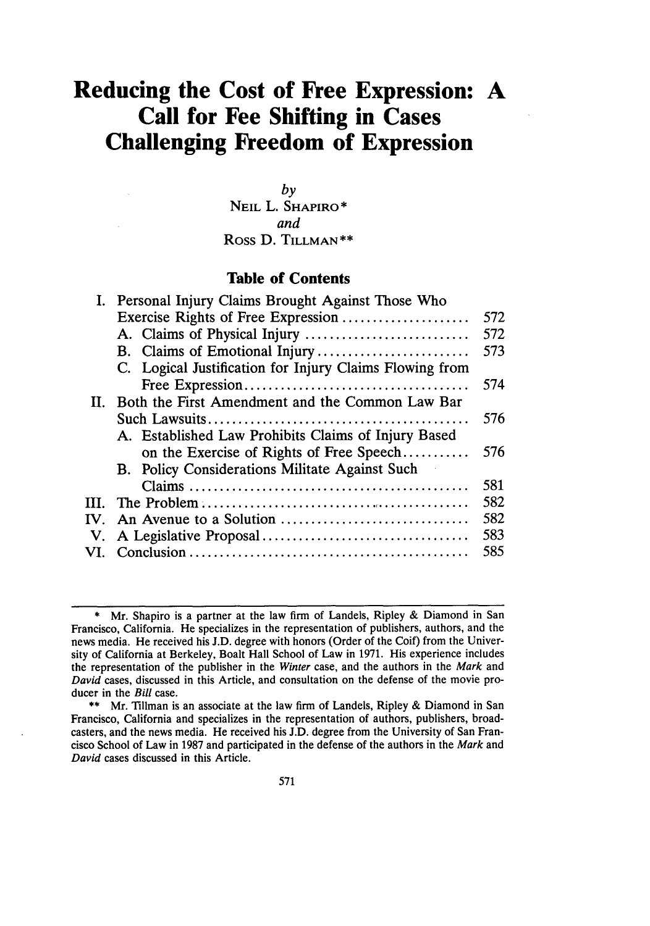# **Reducing the Cost of Free Expression: A Call for Fee Shifting in Cases Challenging Freedom of Expression**

*by* **NEIL** L. **SHAPIRO\*** *and* Ross **D. TILLMAN\*\***

**Table of Contents**

|     | I. Personal Injury Claims Brought Against Those Who     |     |
|-----|---------------------------------------------------------|-----|
|     | Exercise Rights of Free Expression                      | 572 |
|     | A. Claims of Physical Injury                            | 572 |
|     |                                                         | 573 |
|     | C. Logical Justification for Injury Claims Flowing from |     |
|     |                                                         | 574 |
| Н.  | Both the First Amendment and the Common Law Bar         |     |
|     |                                                         | 576 |
|     | A. Established Law Prohibits Claims of Injury Based     |     |
|     | on the Exercise of Rights of Free Speech                | 576 |
|     | B. Policy Considerations Militate Against Such          |     |
|     |                                                         | 581 |
| HL. |                                                         | 582 |
| IV. |                                                         | 582 |
|     |                                                         | 583 |
| VL. |                                                         | 585 |
|     |                                                         |     |

**<sup>\*</sup>** Mr. Shapiro is a partner at the law firm of Landels, Ripley **&** Diamond in San Francisco, California. He specializes in the representation of publishers, authors, and the news media. He received his **J.D.** degree with honors (Order of the Coif) from the University of California at Berkeley, Boalt Hall School of Law in **1971.** His experience includes the representation of the publisher in the *Winter* case, and the authors in the *Mark* and *David* cases, discussed in this Article, and consultation on the defense of the movie producer in the *Bill* case.

**<sup>\*\*</sup>** Mr. Tillman is an associate at the law firm of Landels, Ripley **&** Diamond in San Francisco, California and specializes in the representation of authors, publishers, broadcasters, and the news media. He received his **J.D.** degree from the University of San Francisco School of Law in **1987** and participated in the defense of the authors in the *Mark* and *David* cases discussed in this Article.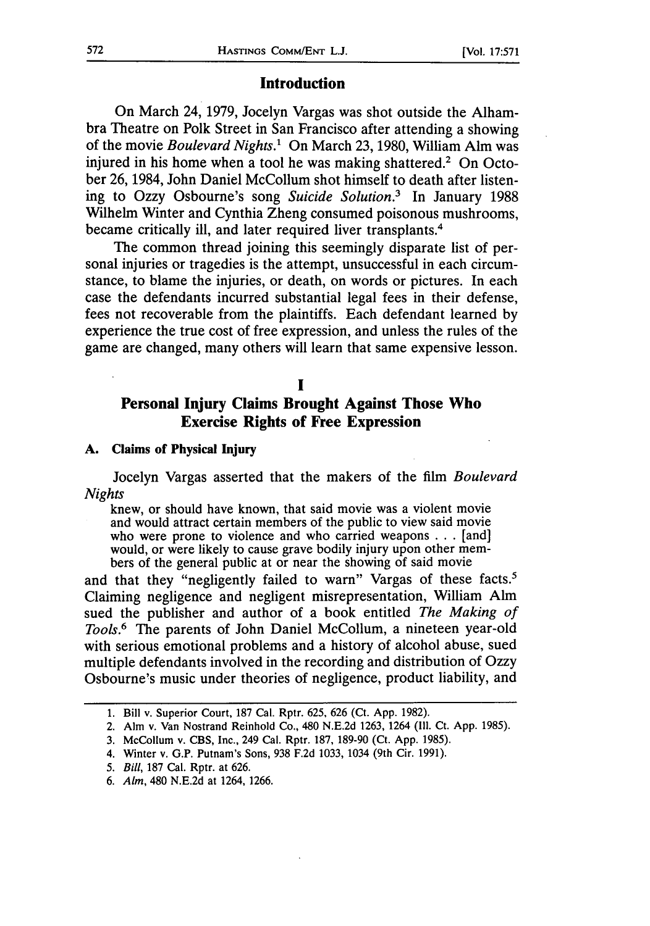### **Introduction**

On March 24, 1979, Jocelyn Vargas was shot outside the Alhambra Theatre on Polk Street in San Francisco after attending a showing of the movie *Boulevard Nights.'* On March 23, 1980, William Aim was injured in his home when a tool he was making shattered.<sup>2</sup> On October 26, 1984, John Daniel McCollum shot himself to death after listening to Ozzy Osbourne's song *Suicide Solution.3* In January 1988 Wilhelm Winter and Cynthia Zheng consumed poisonous mushrooms, became critically ill, and later required liver transplants.<sup>4</sup>

The common thread joining this seemingly disparate list of personal injuries or tragedies is the attempt, unsuccessful in each circumstance, to blame the injuries, or death, on words or pictures. In each case the defendants incurred substantial legal fees in their defense, fees not recoverable from the plaintiffs. Each defendant learned by experience the true cost of free expression, and unless the rules of the game are changed, many others will learn that same expensive lesson.

# **I**

## **Personal Injury Claims Brought Against Those Who Exercise Rights of Free Expression**

#### **A. Claims of Physical Injury**

Jocelyn Vargas asserted that the makers of the film *Boulevard Nights*

knew, or should have known, that said movie was a violent movie and would attract certain members of the public to view said movie who were prone to violence and who carried weapons . . . [and] would, or were likely to cause grave bodily injury upon other members of the general public at or near the showing of said movie

and that they "negligently failed to warn" Vargas of these facts.<sup>5</sup> Claiming negligence and negligent misrepresentation, William Alm sued the publisher and author of a book entitled *The Making of Tools.6* The parents of John Daniel McCollum, a nineteen year-old with serious emotional problems and a history of alcohol abuse, sued multiple defendants involved in the recording and distribution of Ozzy Osbourne's music under theories of negligence, product liability, and

<sup>1.</sup> Bill v. Superior Court, 187 Cal. Rptr. 625, 626 (Ct. App. 1982).

<sup>2.</sup> Aim v. Van Nostrand Reinhold Co., 480 N.E.2d 1263, 1264 **(I11.** Ct. App. 1985).

<sup>3.</sup> McCollum v. CBS, Inc., 249 Cal. Rptr. 187, 189-90 (Ct. App. 1985).

<sup>4.</sup> Winter v. G.P. Putnam's Sons, 938 F.2d 1033, 1034 (9th Cir. 1991).

*<sup>5.</sup> Bill,* 187 Cal. Rptr. at 626.

<sup>6.</sup> *Aim,* 480 N.E.2d at 1264, 1266.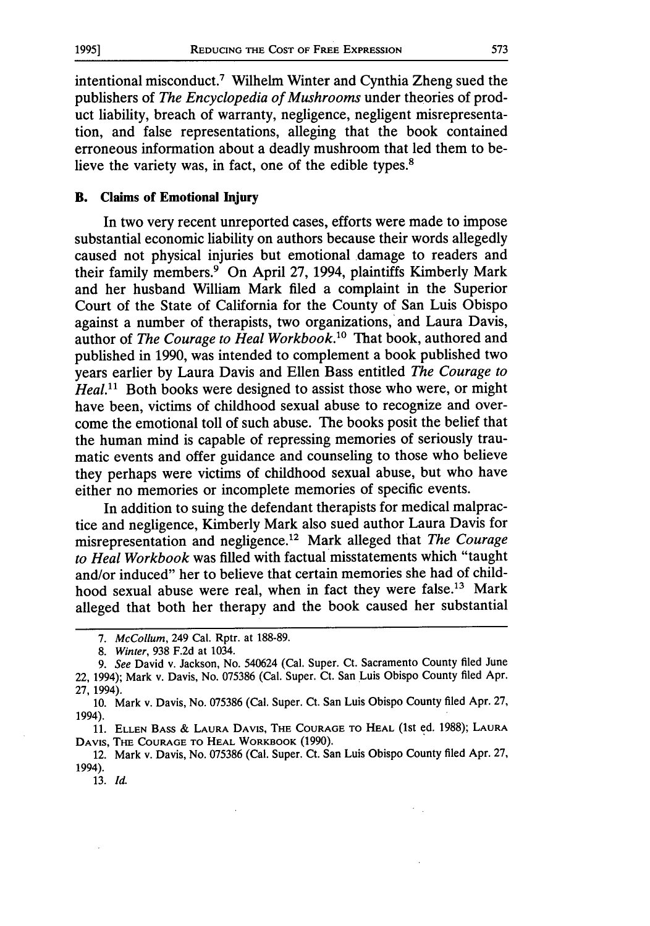intentional misconduct.7 Wilhelm Winter and Cynthia Zheng sued the publishers of *The Encyclopedia of Mushrooms* under theories of product liability, breach of warranty, negligence, negligent misrepresentation, and false representations, alleging that the book contained erroneous information about a deadly mushroom that led them to believe the variety was, in fact, one of the edible types.<sup>8</sup>

#### B. Claims **of Emotional Injury**

In two very recent unreported cases, efforts were made to impose substantial economic liability on authors because their words allegedly caused not physical injuries but emotional damage to readers and their family members.<sup>9</sup> On April 27, 1994, plaintiffs Kimberly Mark and her husband William Mark filed a complaint in the Superior Court of the State of California for the County of San Luis Obispo against a number of therapists, two organizations, and Laura Davis, author of *The Courage to Heal Workbook*.<sup>10</sup> That book, authored and published in 1990, was intended to complement a book published two years earlier by Laura Davis and Ellen Bass entitled *The Courage to Heal.*<sup>11</sup> Both books were designed to assist those who were, or might have been, victims of childhood sexual abuse to recognize and overcome the emotional toll of such abuse. The books posit the belief that the human mind is capable of repressing memories of seriously traumatic events and offer guidance and counseling to those who believe they perhaps were victims of childhood sexual abuse, but who have either no memories or incomplete memories of specific events.

In addition to suing the defendant therapists for medical malpractice and negligence, Kimberly Mark also sued author Laura Davis for misrepresentation and negligence.<sup>12</sup> Mark alleged that *The Courage to Heal Workbook* was filled with factual misstatements which "taught and/or induced" her to believe that certain memories she had of childhood sexual abuse were real, when in fact they were false.<sup>13</sup> Mark alleged that both her therapy and the book caused her substantial

11. **ELLEN BASS & LAURA DAVIS,** THE **COURAGE** TO **HEAL** (1st ed. 1988); **LAURA DAVIS,** THE COURAGE **TO HEAL** WORKBOOK (1990).

12. Mark v. Davis, No. 075386 (Cal. Super. Ct. San Luis Obispo County filed Apr. 27, 1994).

13. *Id.*

*<sup>7.</sup> McCollum,* 249 Cal. Rptr. at 188-89.

*<sup>8.</sup> Winter,* 938 F.2d at 1034.

*<sup>9.</sup> See* David v. Jackson, No. 540624 (Cal. Super. Ct. Sacramento County filed June 22, 1994); Mark v. Davis, No. 075386 (Cal. Super. Ct. San Luis Obispo County filed Apr. 27, 1994).

<sup>10.</sup> Mark v. Davis, No. 075386 (Cal. Super. Ct. San Luis Obispo County filed Apr. 27, 1994).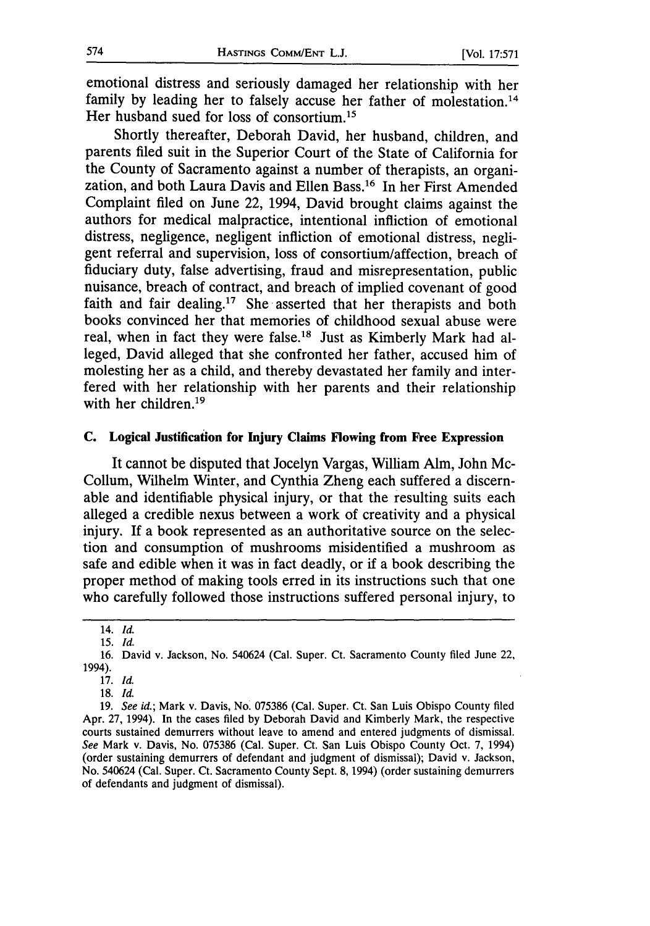emotional distress and seriously damaged her relationship with her family by leading her to falsely accuse her father of molestation.<sup>14</sup> Her husband sued for loss of consortium.<sup>15</sup>

Shortly thereafter, Deborah David, her husband, children, and parents filed suit in the Superior Court of the State of California for the County of Sacramento against a number of therapists, an organization, and both Laura Davis and Ellen Bass.<sup>16</sup> In her First Amended Complaint filed on June 22, 1994, David brought claims against the authors for medical malpractice, intentional infliction of emotional distress, negligence, negligent infliction of emotional distress, negligent referral and supervision, loss of consortium/affection, breach of fiduciary duty, false advertising, fraud and misrepresentation, public nuisance, breach of contract, and breach of implied covenant of good faith and fair dealing.<sup>17</sup> She asserted that her therapists and both books convinced her that memories of childhood sexual abuse were real, when in fact they were false.<sup>18</sup> Just as Kimberly Mark had alleged, David alleged that she confronted her father, accused him of molesting her as a child, and thereby devastated her family and interfered with her relationship with her parents and their relationship with her children. $19$ 

#### **C. Logical Justification for Injury Claims Flowing from Free Expression**

It cannot be disputed that Jocelyn Vargas, William Alm, John Mc-Collum, Wilhelm Winter, and Cynthia Zheng each suffered a discernable and identifiable physical injury, or that the resulting suits each alleged a credible nexus between a work of creativity and a physical injury. If a book represented as an authoritative source on the selection and consumption of mushrooms misidentified a mushroom as safe and edible when it was in fact deadly, or if a book describing the proper method of making tools erred in its instructions such that one who carefully followed those instructions suffered personal injury, to

<sup>14.</sup> *Id.*

<sup>15.</sup> *Id.* 16. David v. Jackson, No. 540624 (Cal. Super. Ct. Sacramento County filed June 22,

<sup>1994).</sup>

<sup>17.</sup> *Id.*

**<sup>18.</sup>** *Id.*

<sup>19.</sup> *See id.;* Mark v. Davis, No. 075386 (Cal. Super. Ct. San Luis Obispo County filed Apr. 27, 1994). In the cases filed by Deborah David and Kimberly Mark, the respective courts sustained demurrers without leave to amend and entered judgments of dismissal. *See* Mark v. Davis, No. 075386 (Cal. Super. Ct. San Luis Obispo County Oct. 7, 1994) (order sustaining demurrers of defendant and judgment of dismissal); David v. Jackson, No. 540624 (Cal. Super. Ct. Sacramento County Sept. 8, 1994) (order sustaining demurrers of defendants and judgment of dismissal).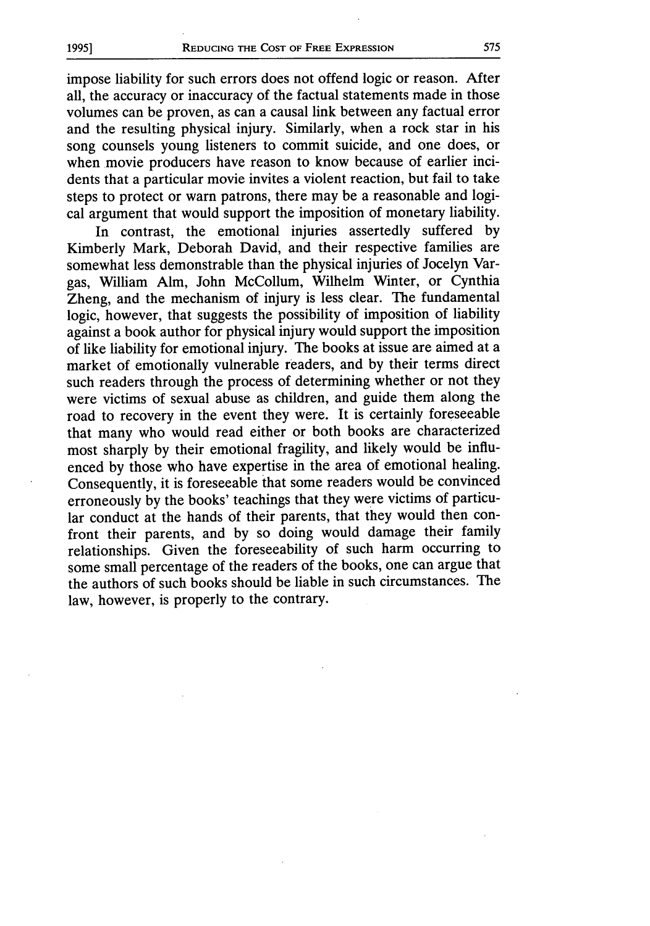impose liability for such errors does not offend logic or reason. After all, the accuracy or inaccuracy of the factual statements made in those volumes can be proven, as can a causal link between any factual error and the resulting physical injury. Similarly, when a rock star in his song counsels young listeners to commit suicide, and one does, or when movie producers have reason to know because of earlier incidents that a particular movie invites a violent reaction, but fail to take steps to protect or warn patrons, there may be a reasonable and logical argument that would support the imposition of monetary liability.

In contrast, the emotional injuries assertedly suffered by Kimberly Mark, Deborah David, and their respective families are somewhat less demonstrable than the physical injuries of Jocelyn Vargas, William Alm, John McCollum, Wilhelm Winter, or Cynthia Zheng, and the mechanism of injury is less clear. The fundamental logic, however, that suggests the possibility of imposition of liability against a book author for physical injury would support the imposition of like liability for emotional injury. The books at issue are aimed at a market of emotionally vulnerable readers, and by their terms direct such readers through the process of determining whether or not they were victims of sexual abuse as children, and guide them along the road to recovery in the event they were. It is certainly foreseeable that many who would read either or both books are characterized most sharply by their emotional fragility, and likely would be influenced by those who have expertise in the area of emotional healing. Consequently, it is foreseeable that some readers would be convinced erroneously by the books' teachings that they were victims of particular conduct at the hands of their parents, that they would then confront their parents, and by so doing would damage their family relationships. Given the foreseeability of such harm occurring to some small percentage of the readers of the books, one can argue that the authors of such books should be liable in such circumstances. The law, however, is properly to the contrary.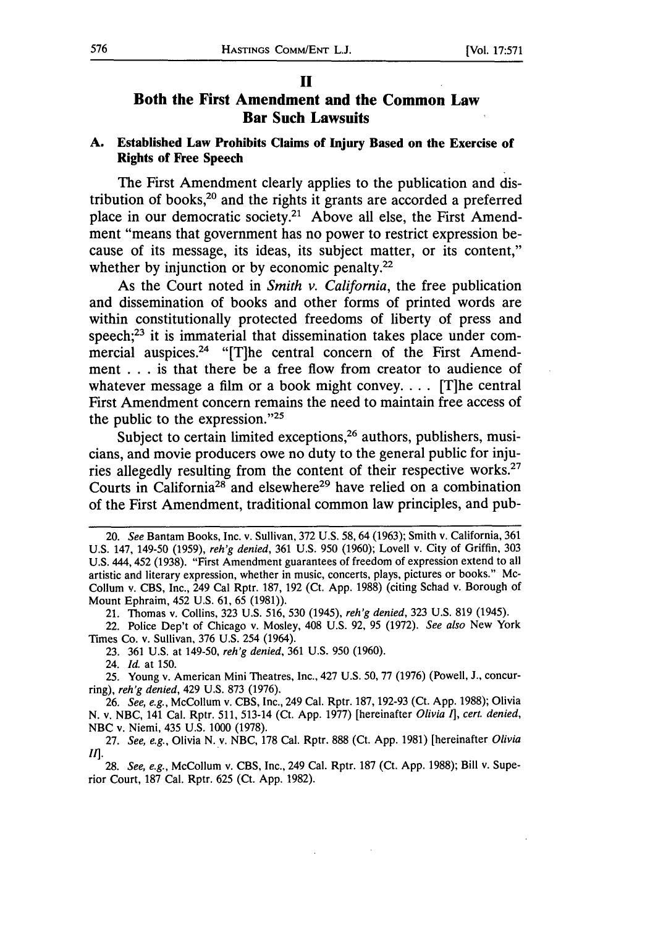#### **II**

# **Both the First Amendment and the Common Law Bar Such Lawsuits**

#### **A.** Established Law Prohibits Claims of Injury Based **on** the Exercise of Rights of **Free** Speech

The First Amendment clearly applies to the publication and distribution of books,20 and the rights it grants are accorded a preferred place in our democratic society.<sup>21</sup> Above all else, the First Amendment "means that government has no power to restrict expression because of its message, its ideas, its subject matter, or its content," whether by injunction or by economic penalty.<sup>22</sup>

As the Court noted in *Smith v. California,* the free publication and dissemination of books and other forms of printed words are within constitutionally protected freedoms of liberty of press and speech; $^{23}$  it is immaterial that dissemination takes place under commercial auspices.<sup>24</sup> "[T]he central concern of the First Amendment **...**is that there be a free flow from creator to audience of whatever message a film or a book might convey **.... [T]he** central First Amendment concern remains the need to maintain free access of the public to the expression."2

Subject to certain limited exceptions,<sup>26</sup> authors, publishers, musicians, and movie producers owe no duty to the general public for injuries allegedly resulting from the content of their respective works.<sup>27</sup> Courts in California<sup>28</sup> and elsewhere<sup>29</sup> have relied on a combination of the First Amendment, traditional common law principles, and pub-

22. Police Dep't of Chicago v. Mosley, 408 **U.S. 92, 95 (1972).** *See also* New York Times Co. v. Sullivan, **376 U.S.** 254 (1964).

**23. 361 U.S.** at 149-50, *reh'g denied,* **361 U.S. 950 (1960).**

24. *Id.* at **150.**

**25.** Young v. American Mini Theatres, Inc., 427 **U.S. 50, 77 (1976)** (Powell, **J.,** concurring), *reh'g denied,* 429 **U.S. 873 (1976).**

**26.** *See, e.g.,* McCollum v. **CBS,** Inc., 249 Cal. Rptr. **187, 192-93** (Ct. **App. 1988);** Olivia **N.** v. **NBC,** 141 Cal. Rptr. **511,** 513-14 (Ct. **App. 1977)** [hereinafter *Olivia* **1],** *cert. denied,* **NBC** v. Niemi, 435 **U.S. 1000 (1978).**

**27.** *See, e.g.,* Olivia **N.** v. **NBC, 178** Cal. Rptr. **888** (Ct. **App. 1981)** [hereinafter *Olivia tI'.*

**28.** *See, e.g.,* McCollum v. **CBS,** Inc., 249 Cal. Rptr. **187** (Ct. **App. 1988);** Bill v. Superior Court, **187** Cal. Rptr. **625** (Ct. **App. 1982).**

<sup>20.</sup> *See* Bantam Books, Inc. v. Sullivan, **372 U.S. 58,64 (1963);** Smith v. California, **361 U.S.** 147, 149-50 **(1959),** *reh'g denied,* **361 U.S. 950 (1960);** Lovell v. City of Griffin, **303 U.S.** 444, 452 **(1938).** "First Amendment guarantees of freedom of expression extend to all artistic and literary expression, whether in music, concerts, plays, pictures or books." Mc-Collum v. **CBS,** Inc., 249 Cal Rptr. **187, 192** (Ct. **App. 1988)** (citing Schad v. Borough of Mount Ephraim, 452 **U.S. 61, 65 (1981)).**

<sup>21.</sup> Thomas v. Collins, **323 U.S. 516, 530** (1945), *reh'g denied,* **323 U.S. 819** (1945).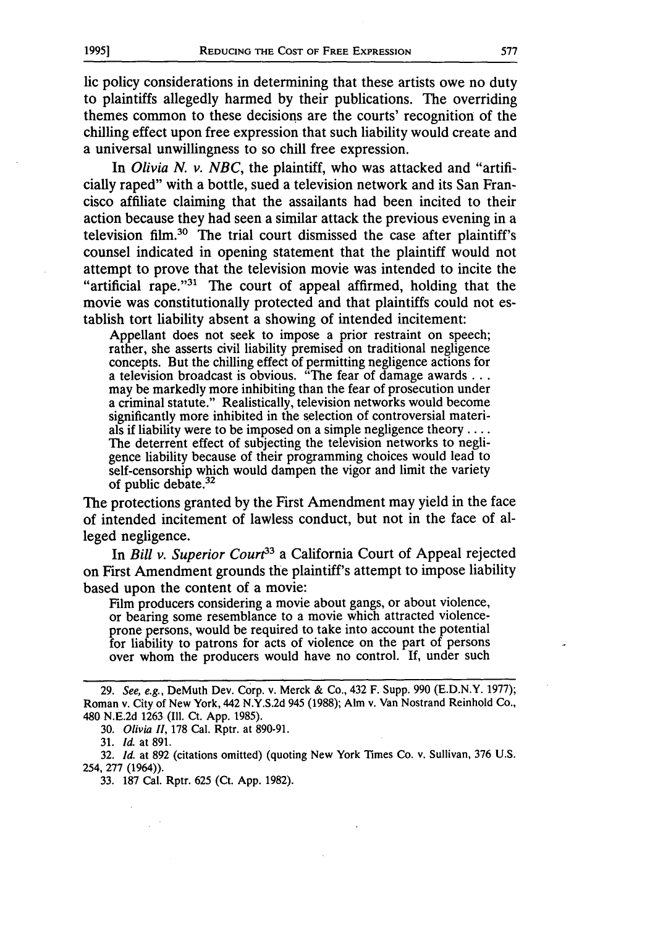lic policy considerations in determining that these artists owe no duty to plaintiffs allegedly harmed by their publications. The overriding themes common to these decisions are the courts' recognition of the chilling effect upon free expression that such liability would create and a universal unwillingness to so chill free expression.

In *Olivia N. v. NBC,* the plaintiff, who was attacked and "artificially raped" with a bottle, sued a television network and its San Francisco affiliate claiming that the assailants had been incited to their action because they had seen a similar attack the previous evening in a television film.<sup>30</sup> The trial court dismissed the case after plaintiff's counsel indicated in opening statement that the plaintiff would not attempt to prove that the television movie was intended to incite the "artificial rape."<sup>31</sup> The court of appeal affirmed, holding that the movie was constitutionally protected and that plaintiffs could not establish tort liability absent a showing of intended incitement:

Appellant does not seek to impose a prior restraint on speech; rather, she asserts civil liability premised on traditional negligence concepts. But the chilling effect of permitting negligence actions for a television broadcast is obvious. "The fear of damage awards... may be markedly more inhibiting than the fear of prosecution under a criminal statute." Realistically, television networks would become significantly more inhibited in the selection of controversial materials if liability were to be imposed on a simple negligence theory .... The deterrent effect of subjecting the television networks to negligence liability because of their programming choices would lead to self-censorship which would dampen the vigor and limit the variety of public debate.<sup>32</sup>

The protections granted by the First Amendment may yield in the face of intended incitement of lawless conduct, but not in the face of alleged negligence.

In *Bill v. Superior Court*<sup>33</sup> a California Court of Appeal rejected on First Amendment grounds the plaintiff's attempt to impose liability based upon the content of a movie:

Film producers considering a movie about gangs, or about violence, or bearing some resemblance to a movie which attracted violenceprone persons, would be required to take into account the potential for liability to patrons for acts of violence on the part of persons over whom the producers would have no control. **If,** under such

30. *Olivia* H, 178 Cal. Rptr. at 890-91.

31. *Id.* at 891.

32. *Id.* at 892 (citations omitted) (quoting New York Times Co. v. Sullivan, 376 U.S. 254, 277 (1964)).

33. 187 Cal. Rptr. 625 (Ct. App. 1982).

<sup>29.</sup> *See, e.g.,* DeMuth Dev. Corp. v. Merck & Co., 432 F. Supp. 990 (E.D.N.Y. 1977); Roman v. City of New York, 442 N.Y.S.2d 945 (1988); Aim v. Van Nostrand Reinhold Co., 480 N.E.2d 1263 (Ill. Ct. App. 1985).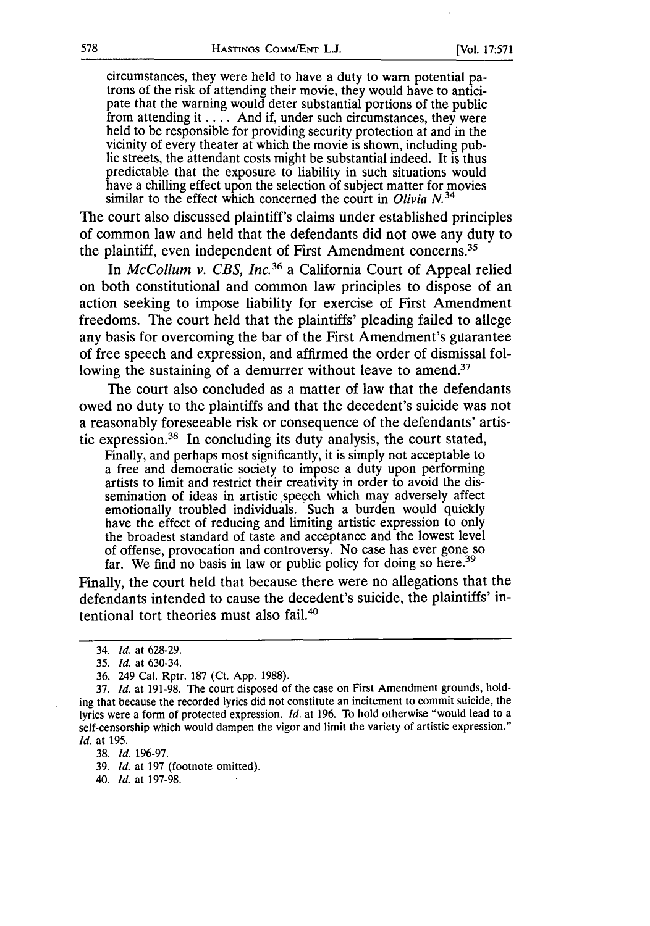circumstances, they were held to have a duty to warn potential patrons of the risk of attending their movie, they would have to anticipate that the warning would deter substantial portions of the public from attending it . . . . And if, under such circumstances, they were held to be responsible for providing security protection at and in the vicinity of every theater at which the movie is shown, including public streets, the attendant costs might be substantial indeed. It is thus predictable that the exposure to liability in such situations would have a chilling effect upon the selection of subject matter for movies similar to the effect which concerned the court in *Olivia N.34*

The court also discussed plaintiff's claims under established principles of common law and held that the defendants did not owe any duty to the plaintiff, even independent of First Amendment concerns.

In *McCollum v. CBS, Inc.36* a California Court of Appeal relied on both constitutional and common law principles to dispose of an action seeking to impose liability for exercise of First Amendment freedoms. The court held that the plaintiffs' pleading failed to allege any basis for overcoming the bar of the First Amendment's guarantee of free speech and expression, and affirmed the order of dismissal following the sustaining of a demurrer without leave to amend.<sup>37</sup>

The court also concluded as a matter of law that the defendants owed no duty to the plaintiffs and that the decedent's suicide was not a reasonably foreseeable risk or consequence of the defendants' artistic expression.38 In concluding its duty analysis, the court stated,

Finally, and perhaps most significantly, it is simply not acceptable to a free and democratic society to impose a duty upon performing artists to limit and restrict their creativity in order to avoid the dissemination of ideas in artistic speech which may adversely affect emotionally troubled individuals. Such a burden would quickly have the effect of reducing and limiting artistic expression to only the broadest standard of taste and acceptance and the lowest level of offense, provocation and controversy. No case has ever gone so far. We find no basis in law or public policy for doing so here.<sup>39</sup>

Finally, the court held that because there were no allegations that the defendants intended to cause the decedent's suicide, the plaintiffs' intentional tort theories must also fail.<sup>40</sup>

<sup>34.</sup> *Id.* at 628-29.

*<sup>35.</sup> Id.* at 630-34.

<sup>36. 249</sup> Cal. Rptr. 187 (Ct. App. 1988).

<sup>37.</sup> *Id.* at 191-98. The court disposed of the case on First Amendment grounds, holding that because the recorded lyrics did not constitute an incitement to commit suicide, the lyrics were a form of protected expression. *Id.* at 196. To hold otherwise "would lead to a self-censorship which would dampen the vigor and limit the variety of artistic expression." *Id.* at 195.

<sup>38.</sup> *Id.* 196-97.

<sup>39.</sup> *Id.* at 197 (footnote omitted).

<sup>40.</sup> *Id.* at 197-98.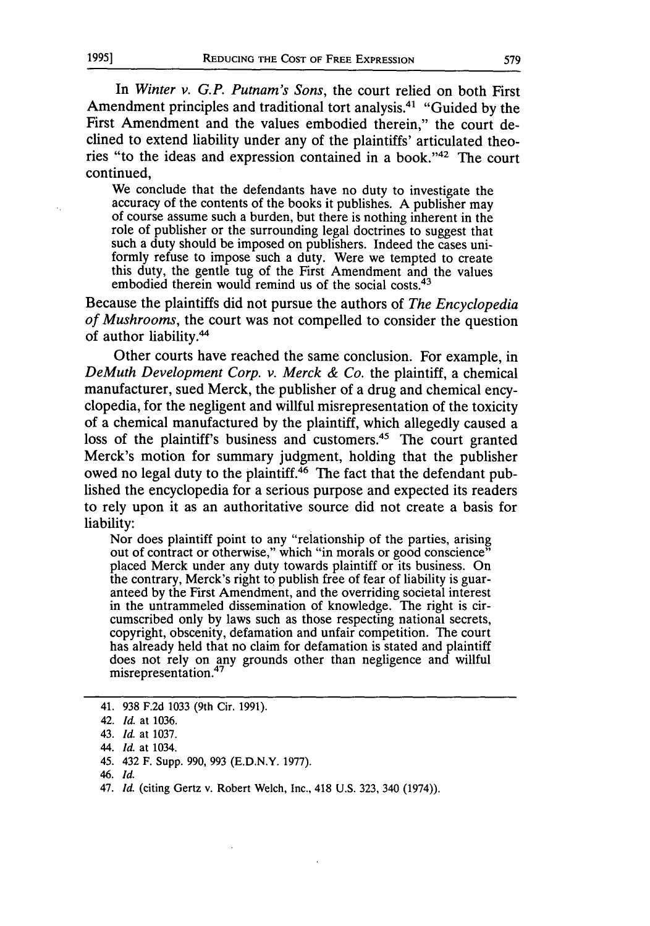**1995]**

In *Winter v. G.P. Putnam's Sons,* the court relied on both First Amendment principles and traditional tort analysis.<sup>41</sup> "Guided by the First Amendment and the values embodied therein," the court declined to extend liability under any of the plaintiffs' articulated theories "to the ideas and expression contained in a book."42 The court continued,

We conclude that the defendants have no duty to investigate the accuracy of the contents of the books it publishes. A publisher may of course assume such a burden, but there is nothing inherent in the role of publisher or the surrounding legal doctrines to suggest that such a duty should be imposed on publishers. Indeed the cases uniformly refuse to impose such a duty. Were we tempted to create this duty, the gentle tug of the First Amendment and the values embodied therein would remind us of the social costs.<sup>43</sup>

Because the plaintiffs did not pursue the authors of *The Encyclopedia of Mushrooms,* the court was not compelled to consider the question of author liability.<sup>44</sup>

Other courts have reached the same conclusion. For example, in *DeMuth Development Corp. v. Merck & Co.* the plaintiff, a chemical manufacturer, sued Merck, the publisher of a drug and chemical encyclopedia, for the negligent and willful misrepresentation of the toxicity of a chemical manufactured by the plaintiff, which allegedly caused a loss of the plaintiff's business and customers.<sup>45</sup> The court granted Merck's motion for summary judgment, holding that the publisher owed no legal duty to the plaintiff.<sup>46</sup> The fact that the defendant published the encyclopedia for a serious purpose and expected its readers to rely upon it as an authoritative source did not create a basis for liability:

Nor does plaintiff point to any "relationship of the parties, arising out of contract or otherwise," which "in morals or good conscience" placed Merck under any duty towards plaintiff or its business. On the contrary, Merck's right to publish free of fear of liability is guar- anteed by the First Amendment, and the overriding societal interest in the untrammeled dissemination of knowledge. The right is circumscribed only by laws such as those respecting national secrets, copyright, obscenity, defamation and unfair competition. The court has already held that no claim for defamation is stated and plaintiff does not rely on any grounds other than negligence and willful misrepresentation.<sup>47</sup>

46. *Id.*

<sup>41. 938</sup> F.2d 1033 (9th Cir. 1991).

<sup>42.</sup> *Id.* at 1036.

<sup>43.</sup> *Id.* at 1037.

<sup>44.</sup> *Id.* at 1034.

<sup>45. 432</sup> F. Supp. 990, 993 (E.D.N.Y. 1977).

<sup>47.</sup> *Id.* (citing Gertz v. Robert Welch, Inc., 418 U.S. 323, 340 (1974)).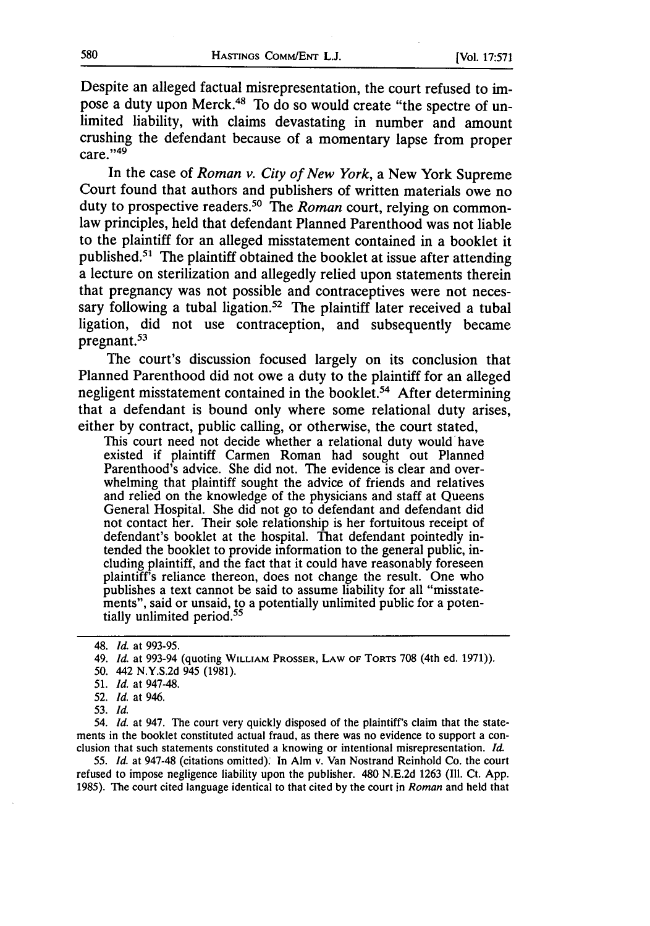Despite an alleged factual misrepresentation, the court refused to impose a duty upon Merck.48 To do so would create "the spectre of unlimited liability, with claims devastating in number and amount crushing the defendant because of a momentary lapse from proper  $care. "49"$ 

In the case of *Roman v. City of New York,* a New York Supreme Court found that authors and publishers of written materials owe no duty to prospective readers. 50 The *Roman* court, relying on commonlaw principles, held that defendant Planned Parenthood was not liable to the plaintiff for an alleged misstatement contained in a booklet it published. $51$  The plaintiff obtained the booklet at issue after attending a lecture on sterilization and allegedly relied upon statements therein that pregnancy was not possible and contraceptives were not necessary following a tubal ligation.<sup>52</sup> The plaintiff later received a tubal ligation, did not use contraception, and subsequently became pregnant.<sup>53</sup>

The court's discussion focused largely on its conclusion that Planned Parenthood did not owe a duty to the plaintiff for an alleged negligent misstatement contained in the booklet.<sup>54</sup> After determining that a defendant is bound only where some relational duty arises, either by contract, public calling, or otherwise, the court stated,

This court need not decide whether a relational duty would have existed if plaintiff Carmen Roman had sought out Planned Parenthood's advice. She did not. The evidence is clear and overwhelming that plaintiff sought the advice of friends and relatives and relied on the knowledge of the physicians and staff at Queens General Hospital. She did not go to defendant and defendant did not contact her. Their sole relationship is her fortuitous receipt of defendant's booklet at the hospital. That defendant pointedly intended the booklet to provide information to the general public, including plaintiff, and the fact that it could have reasonably foreseen plaintiff's reliance thereon, does not change the result. One who publishes a text cannot be said to assume liability for all "misstatements", said or unsaid, to a potentially unlimited public for a potentially unlimited period.<sup>55</sup>

54. *Id.* at 947. The court very quickly disposed of the plaintiff's claim that the statements in the booklet constituted actual fraud, as there was no evidence to support a con-<br>clusion that such statements constituted a knowing or intentional misrepresentation. *Id.* 

*55. Id.* at 947-48 (citations omitted). In Aim v. Van Nostrand Reinhold Co. the court refused to impose negligence liability upon the publisher. 480 N.E.2d 1263 (II1. Ct. App. 1985). The court cited language identical to that cited by the court in *Roman* and held that

<sup>48.</sup> *Id.* at 993-95.

<sup>49.</sup> *Id.* at 993-94 (quoting WILLIAM PROSSER, LAW OF **TORTS** 708 (4th ed. 1971)).

*<sup>50.</sup>* 442 N.Y.S.2d 945 (1981).

<sup>51.</sup> *Id.* at 947-48.

<sup>52.</sup> *Id.* at 946.

<sup>53.</sup> *Id.*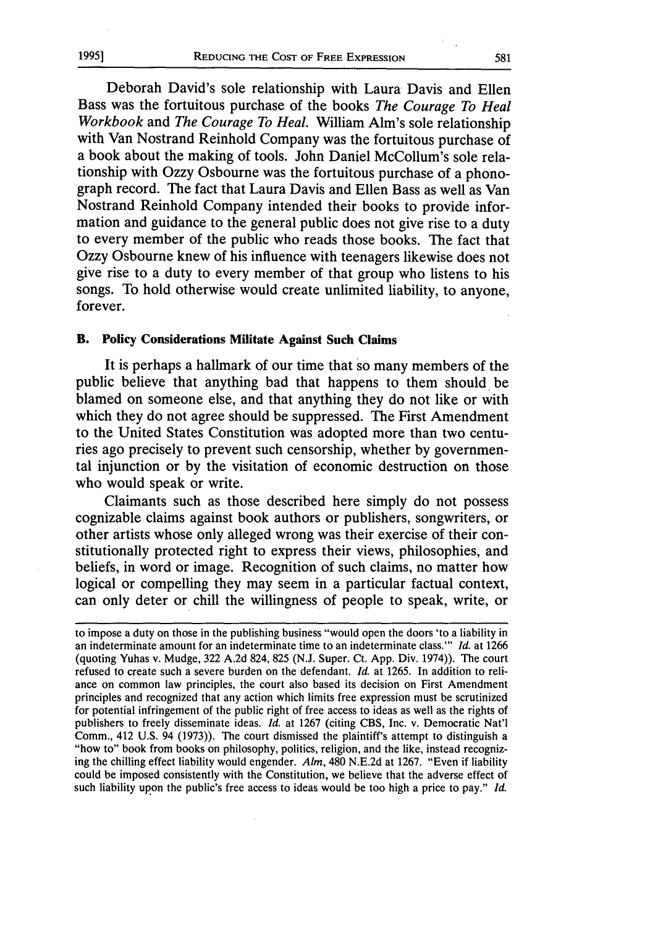Deborah David's sole relationship with Laura Davis and Ellen Bass was the fortuitous purchase of the books *The Courage To Heal Workbook* and *The Courage To Heal.* William Alm's sole relationship with Van Nostrand Reinhold Company was the fortuitous purchase of a book about the making of tools. John Daniel McCollum's sole relationship with Ozzy Osbourne was the fortuitous purchase of a phonograph record. The fact that Laura Davis and Ellen Bass as well as Van Nostrand Reinhold Company intended their books to provide information and guidance to the general public does not give rise to a duty to every member of the public who reads those books. The fact that Ozzy Osbourne knew of his influence with teenagers likewise does not give rise to a duty to every member of that group who listens to his songs. To hold otherwise would create unlimited liability, to anyone, forever.

#### B. **Policy Considerations Militate Against Such Claims**

It is perhaps a hallmark of our time that so many members of the public believe that anything bad that happens to them should be blamed on someone else, and that anything they do not like or with which they do not agree should be suppressed. The First Amendment to the United States Constitution was adopted more than two centuries ago precisely to prevent such censorship, whether **by** governmental injunction or **by** the visitation of economic destruction on those who would speak or write.

Claimants such as those described here simply do not possess cognizable claims against book authors or publishers, songwriters, or other artists whose only alleged wrong was their exercise of their constitutionally protected right to express their views, philosophies, and beliefs, in word or image. Recognition of such claims, no matter how logical or compelling they may seem in a particular factual context, can only deter or chill the willingness of people to speak, write, or

to impose a duty on those in the publishing business "would open the doors 'to a liability in an indeterminate amount for an indeterminate time to an indeterminate class."' *Id.* at **1266** (quoting Yuhas v. Mudge, **322 A.2d** 824, **825 (N.J.** Super. Ct. **App.** Div. 1974)). The court refused to create such a severe burden on the defendant. *Id.* at **1265.** In addition to reliance on common law principles, the court also based its decision on First Amendment principles and recognized that any action which limits free expression must be scrutinized for potential infringement of the public right of free access to ideas as well as the rights of publishers to freely disseminate ideas. *Id.* at **1267** (citing **CBS,** Inc. v. Democratic Nat'l Comm., 412 **U.S.** 94 **(1973)).** The court dismissed the plaintiff's attempt to distinguish a "how to" book from books on philosophy, politics, religion, and the like, instead recognizing the chilling effect liability would engender. *Aim,* 480 **N.E.2d** at **1267.** "Even if liability could be imposed consistently with the Constitution, we believe that the adverse effect of such liability upon the public's free access to ideas would be too high a price to pay." *Id.*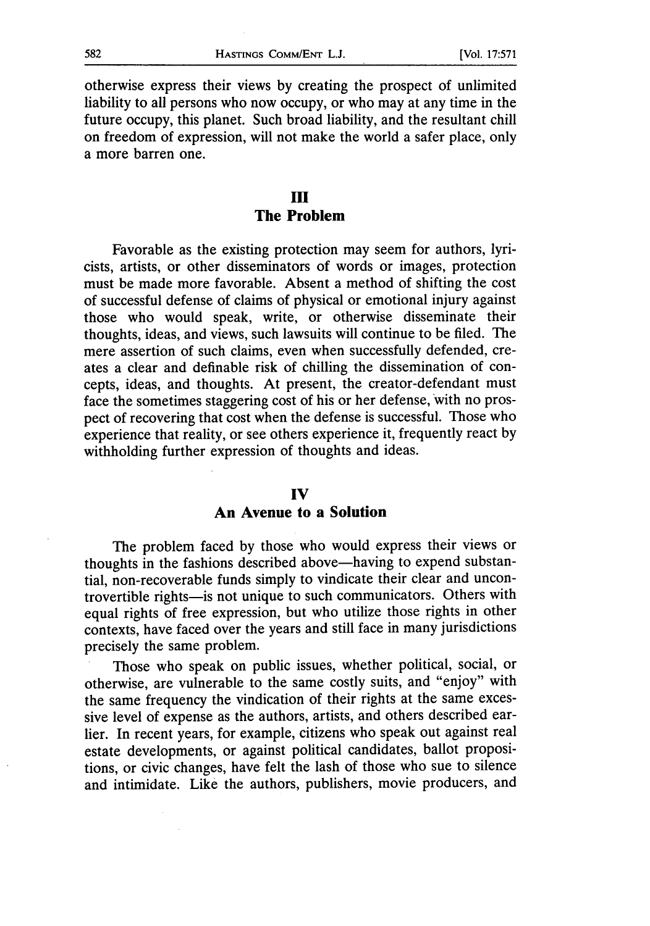otherwise express their views **by** creating the prospect of unlimited liability to all persons who now occupy, or who may at any time in the future occupy, this planet. Such broad liability, and the resultant chill on freedom of expression, will not make the world a safer place, only a more barren one.

### **III The Problem**

Favorable as the existing protection may seem for authors, lyricists, artists, or other disseminators of words or images, protection must be made more favorable. Absent a method of shifting the cost of successful defense of claims of physical or emotional injury against those who would speak, write, or otherwise disseminate their thoughts, ideas, and views, such lawsuits will continue to be filed. The mere assertion of such claims, even when successfully defended, creates a clear and definable risk of chilling the dissemination of concepts, ideas, and thoughts. At present, the creator-defendant must face the sometimes staggering cost of his or her defense, With no prospect of recovering that cost when the defense is successful. Those who experience that reality, or see others experience it, frequently react **by** withholding further expression of thoughts and ideas.

#### **IV**

#### **An Avenue to a Solution**

The problem faced **by** those who would express their views or thoughts in the fashions described above—having to expend substantial, non-recoverable funds simply to vindicate their clear and uncontrovertible rights-is not unique to such communicators. Others with equal rights of free expression, but who utilize those rights in other contexts, have faced over the years and still face in many jurisdictions precisely the same problem.

Those who speak on public issues, whether political, social, or otherwise, are vulnerable to the same costly suits, and "enjoy" with the same frequency the vindication of their rights at the same excessive level of expense as the authors, artists, and others described earlier. In recent years, for example, citizens who speak out against real estate developments, or against political candidates, ballot propositions, or civic changes, have felt the lash of those who sue to silence and intimidate. Like the authors, publishers, movie producers, and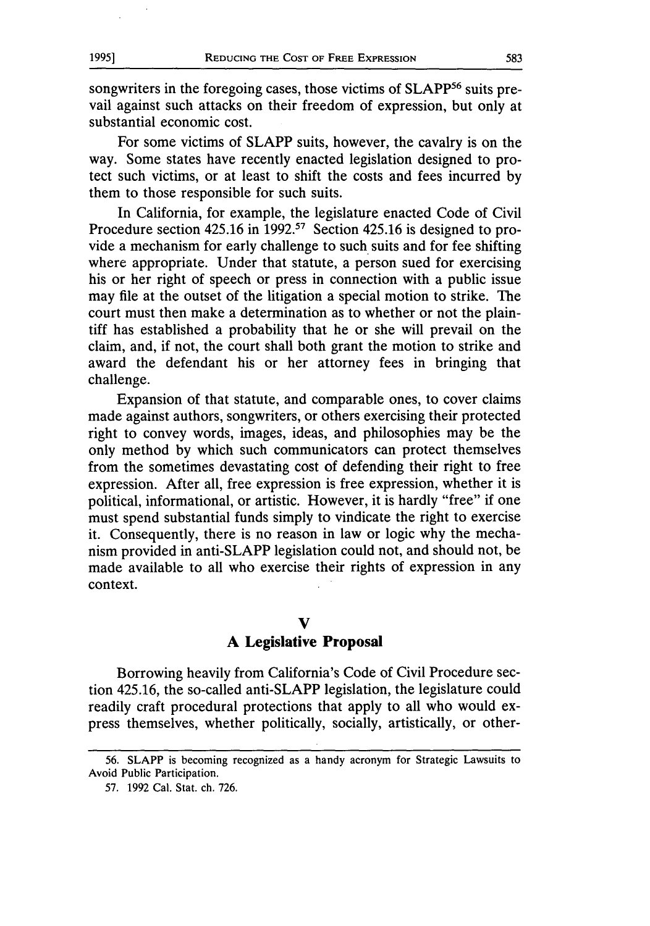songwriters in the foregoing cases, those victims of SLAPP<sup>56</sup> suits prevail against such attacks on their freedom of expression, but only at substantial economic cost.

For some victims of SLAPP suits, however, the cavalry is on the way. Some states have recently enacted legislation designed to protect such victims, or at least to shift the costs and fees incurred by them to those responsible for such suits.

In California, for example, the legislature enacted Code of Civil Procedure section 425.16 in 1992.<sup>57</sup> Section 425.16 is designed to provide a mechanism for early challenge to such suits and for fee shifting where appropriate. Under that statute, a person sued for exercising his or her right of speech or press in connection with a public issue may file at the outset of the litigation a special motion to strike. The court must then make a determination as to whether or not the plaintiff has established a probability that he or she will prevail on the claim, and, if not, the court shall both grant the motion to strike and award the defendant his or her attorney fees in bringing that challenge.

Expansion of that statute, and comparable ones, to cover claims made against authors, songwriters, or others exercising their protected right to convey words, images, ideas, and philosophies may be the only method by which such communicators can protect themselves from the sometimes devastating cost of defending their right to free expression. After all, free expression is free expression, whether it is political, informational, or artistic. However, it is hardly "free" if one must spend substantial funds simply to vindicate the right to exercise it. Consequently, there is no reason in law or logic why the mechanism provided in anti-SLAPP legislation could not, and should not, be made available to all who exercise their rights of expression in any context.

#### **V**

#### **A Legislative Proposal**

Borrowing heavily from California's Code of Civil Procedure section 425.16, the so-called anti-SLAPP legislation, the legislature could readily craft procedural protections that apply to all who would express themselves, whether politically, socially, artistically, or other-

**<sup>56.</sup> SLAPP** is becoming recognized as a handy acronym for Strategic Lawsuits to Avoid Public Participation.

**<sup>57.</sup>** 1992 Cal. Stat. ch. 726.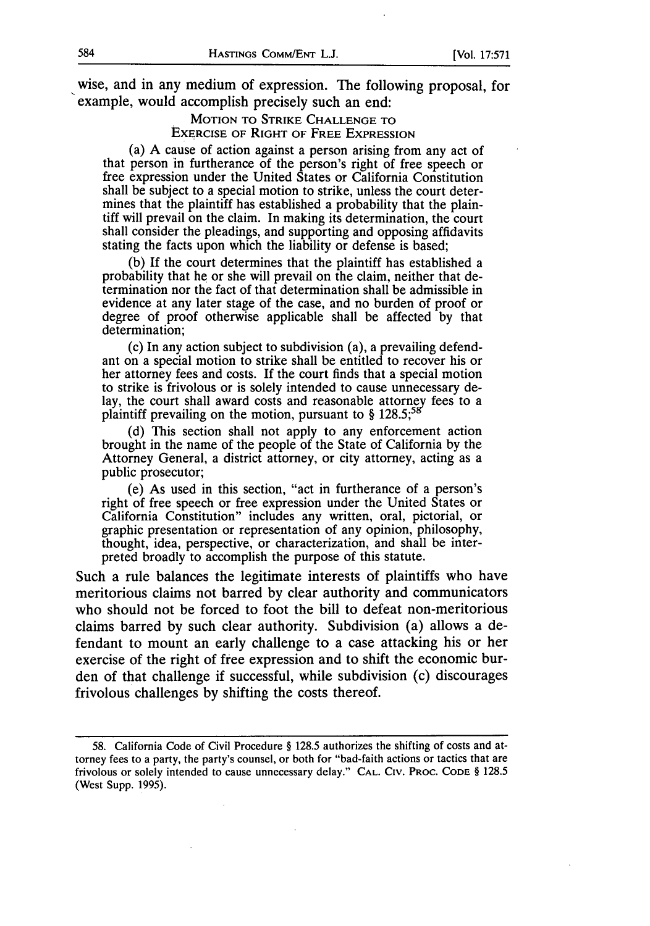wise, and in any medium of expression. The following proposal, for example, would accomplish precisely such an end:

> MOTION TO STRIKE CHALLENGE TO EXERCISE OF RIGHT OF FREE EXPRESSION

(a) A cause of action against a person arising from any act of that person in furtherance of the person's right of free speech or free expression under the United States or California Constitution shall be subject to a special motion to strike, unless the court determines that the plaintiff has established a probability that the plaintiff will prevail on the claim. In making its determination, the court shall consider the pleadings, and supporting and opposing affidavits stating the facts upon which the liability or defense is based;

(b) If the court determines that the plaintiff has established a probability that he or she will prevail on the claim, neither that determination nor the fact of that determination shall be admissible in evidence at any later stage of the case, and no burden of proof or degree of proof otherwise applicable shall be affected by that determination;

(c) In any action subject to subdivision (a), a prevailing defendant on a special motion to strike shall be entitled to recover his or her attorney fees and costs. If the court finds that a special motion to strike is frivolous or is solely intended to cause unnecessary delay, the court shall award costs and reasonable attorney fees to a plaintiff prevailing on the motion, pursuant to § **128.5,**

(d) This section shall not apply to any enforcement action brought in the name of the people of the State of California by the Attorney General, a district attorney, or city attorney, acting as a public prosecutor;

(e) As used in this section, "act in furtherance of a person's right of free speech or free expression under the United States or California Constitution" includes any written, oral, pictorial, or graphic presentation or representation of any opinion, philosophy, thought, idea, perspective, or characterization, and shall be interpreted broadly to accomplish the purpose of this statute.

Such a rule balances the legitimate interests of plaintiffs who have meritorious claims not barred by clear authority and communicators who should not be forced to foot the bill to defeat non-meritorious claims barred by such clear authority. Subdivision (a) allows a defendant to mount an early challenge to a case attacking his or her exercise of the right of free expression and to shift the economic burden of that challenge if successful, while subdivision (c) discourages frivolous challenges by shifting the costs thereof.

<sup>58.</sup> California Code of Civil Procedure § 128.5 authorizes the shifting of costs and attorney fees to a party, the party's counsel, or both for "bad-faith actions or tactics that are frivolous or solely intended to cause unnecessary delay." **CAL.** CIV. PROC. **CODE** § 128.5 (West Supp. 1995).